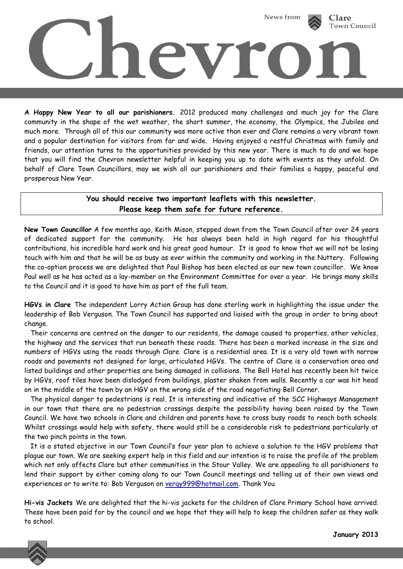

**A Happy New Year to all our parishioners.** 2012 produced many challenges and much joy for the Clare community in the shape of the wet weather, the short summer, the economy, the Olympics, the Jubilee and much more. Through all of this our community was more active than ever and Clare remains a very vibrant town and a popular destination for visitors from far and wide. Having enjoyed a restful Christmas with family and friends, our attention turns to the opportunities provided by this new year. There is much to do and we hope that you will find the Chevron newsletter helpful in keeping you up to date with events as they unfold. On behalf of Clare Town Councillors, may we wish all our parishioners and their families a happy, peaceful and prosperous New Year.

## **You should receive two important leaflets with this newsletter. Please keep them safe for future reference.**

**New Town Councillor** A few months ago, Keith Mison, stepped down from the Town Council after over 24 years of dedicated support for the community. He has always been held in high regard for his thoughtful contributions, his incredible hard work and his great good humour. It is good to know that we will not be losing touch with him and that he will be as busy as ever within the community and working in the Nuttery. Following the co-option process we are delighted that Paul Bishop has been elected as our new town councillor. We know Paul well as he has acted as a lay-member on the Environment Committee for over a year. He brings many skills to the Council and it is good to have him as part of the full team.

**HGVs in Clare** The independent Lorry Action Group has done sterling work in highlighting the issue under the leadership of Bob Verguson. The Town Council has supported and liaised with the group in order to bring about change.

 Their concerns are centred on the danger to our residents, the damage caused to properties, other vehicles, the highway and the services that run beneath these roads. There has been a marked increase in the size and numbers of HGVs using the roads through Clare. Clare is a residential area. It is a very old town with narrow roads and pavements not designed for large, articulated HGVs. The centre of Clare is a conservation area and listed buildings and other properties are being damaged in collisions. The Bell Hotel has recently been hit twice by HGVs, roof tiles have been dislodged from buildings, plaster shaken from walls. Recently a car was hit head on in the middle of the town by an HGV on the wrong side of the road negotiating Bell Corner.

 The physical danger to pedestrians is real. It is interesting and indicative of the SCC Highways Management in our town that there are no pedestrian crossings despite the possibility having been raised by the Town Council. We have two schools in Clare and children and parents have to cross busy roads to reach both schools. Whilst crossings would help with safety, there would still be a considerable risk to pedestrians particularly at the two pinch points in the town.

 It is a stated objective in our Town Council's four year plan to achieve a solution to the HGV problems that plague our town. We are seeking expert help in this field and our intention is to raise the profile of the problem which not only affects Clare but other communities in the Stour Valley. We are appealing to all parishioners to lend their support by either coming along to our Town Council meetings and telling us of their own views and experiences or to write to: Bob Verguson on [vergy999@hotmail.com.](mailto:vergy999@hotmail.com) Thank You

**Hi-vis Jackets** We are delighted that the hi-vis jackets for the children of Clare Primary School have arrived. These have been paid for by the council and we hope that they will help to keep the children safer as they walk to school.